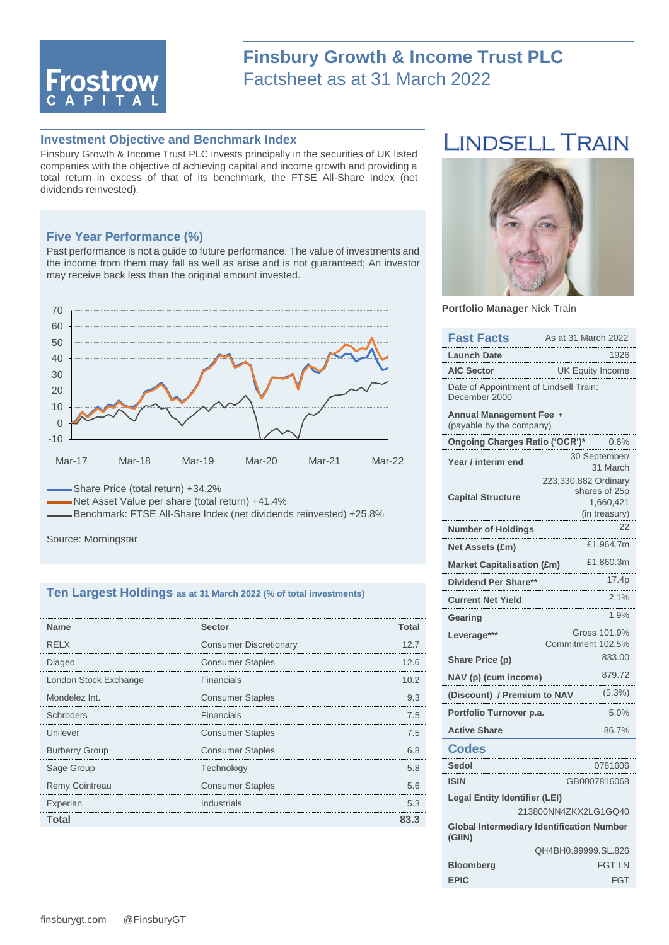

## **Finsbury Growth & Income Trust PLC** Factsheet as at 31 March 2022

## **Investment Objective and Benchmark Index**

Finsbury Growth & Income Trust PLC invests principally in the securities of UK listed companies with the objective of achieving capital and income growth and providing a total return in excess of that of its benchmark, the FTSE All-Share Index (net dividends reinvested).

#### **Five Year Performance (%)**

Past performance is not a guide to future performance. The value of investments and the income from them may fall as well as arise and is not guaranteed; An investor may receive back less than the original amount invested.



Share Price (total return) +34.2%

Net Asset Value per share (total return) +41.4%

Benchmark: FTSE All-Share Index (net dividends reinvested) +25.8%

Source: Morningstar

#### **Ten Largest Holdings as at 31 March 2022 (% of total investments)**

| <b>Name</b>           | <b>Sector</b>                 | Total |
|-----------------------|-------------------------------|-------|
| <b>RELX</b>           | <b>Consumer Discretionary</b> | 12.7  |
| Diageo                | <b>Consumer Staples</b>       | 12.6  |
| London Stock Exchange | Financials                    | 10.2  |
| Mondelez Int.         | <b>Consumer Staples</b>       | 93    |
| Schroders             | Financials                    | 7.5   |
| Unilever              | <b>Consumer Staples</b>       | 75    |
| <b>Burberry Group</b> | <b>Consumer Staples</b>       |       |
| Sage Group            | Technology                    | 5 R   |
| <b>Remy Cointreau</b> | <b>Consumer Staples</b>       | 56    |
| Experian              | Industrials                   | 5.3   |
| Total                 |                               | з     |

# **LINDSELL TRAIN**



**Portfolio Manager** Nick Train

| <b>Fast Facts</b>                                            | As at 31 March 2022                                                 |  |  |  |
|--------------------------------------------------------------|---------------------------------------------------------------------|--|--|--|
| Launch Date                                                  | 1926                                                                |  |  |  |
| <b>AIC Sector</b>                                            | <b>UK Equity Income</b>                                             |  |  |  |
| Date of Appointment of Lindsell Train:<br>December 2000      |                                                                     |  |  |  |
| <b>Annual Management Fee</b><br>(payable by the company)     |                                                                     |  |  |  |
| Ongoing Charges Ratio ('OCR')*                               | 0.6%                                                                |  |  |  |
| Year / interim end                                           | 30 September/<br>31 March                                           |  |  |  |
| <b>Capital Structure</b>                                     | 223,330,882 Ordinary<br>shares of 25p<br>1,660,421<br>(in treasury) |  |  |  |
| <b>Number of Holdings</b>                                    | 22                                                                  |  |  |  |
| <b>Net Assets (£m)</b>                                       | £1,964.7m                                                           |  |  |  |
| <b>Market Capitalisation (£m)</b>                            | £1,860.3m                                                           |  |  |  |
| Dividend Per Share**                                         | 17.4p                                                               |  |  |  |
| <b>Current Net Yield</b>                                     | 2.1%                                                                |  |  |  |
| Gearing                                                      | 1.9%                                                                |  |  |  |
| Leverage***                                                  | Gross 101.9%<br>Commitment 102.5%                                   |  |  |  |
| Share Price (p)                                              | 833.00                                                              |  |  |  |
| NAV (p) (cum income)                                         | 879.72                                                              |  |  |  |
| (Discount) / Premium to NAV                                  | $(5.3\%)$                                                           |  |  |  |
| Portfolio Turnover p.a.                                      | 5.0%                                                                |  |  |  |
| <b>Active Share</b>                                          | 86.7%                                                               |  |  |  |
| <b>Codes</b>                                                 |                                                                     |  |  |  |
| <b>Sedol</b>                                                 | 0781606                                                             |  |  |  |
| <b>ISIN</b>                                                  | GB0007816068                                                        |  |  |  |
| <b>Legal Entity Identifier (LEI)</b><br>213800NN4ZKX2LG1GQ40 |                                                                     |  |  |  |
| <b>Global Intermediary Identification Number</b><br>(GIIN)   |                                                                     |  |  |  |
|                                                              | QH4BH0.99999.SL.826                                                 |  |  |  |
| <b>Bloomberg</b>                                             | FGT LN                                                              |  |  |  |
| <b>EPIC</b>                                                  | FGT                                                                 |  |  |  |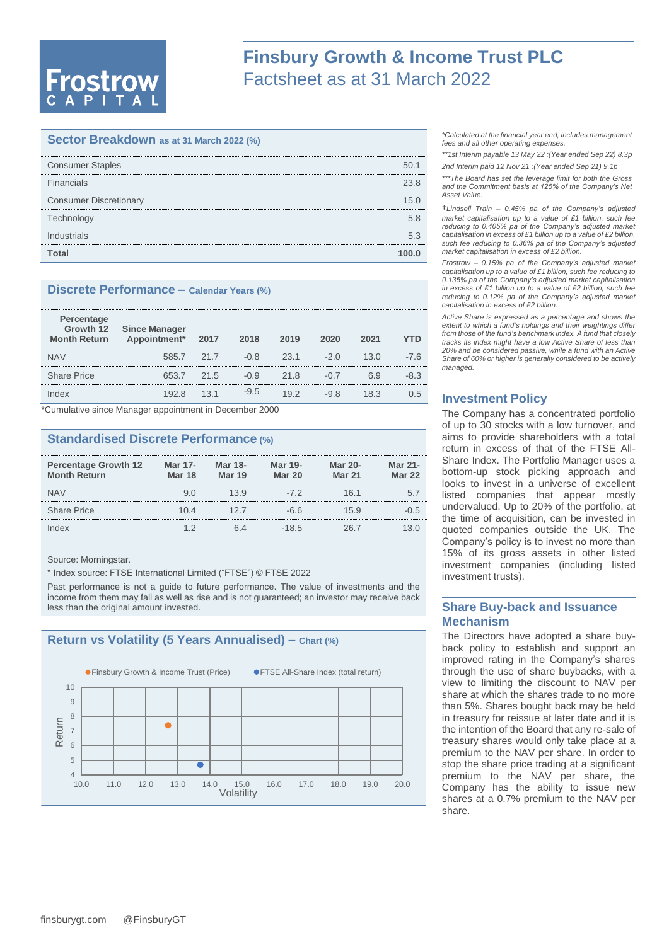# **Frostrow**

# **Finsbury Growth & Income Trust PLC** Factsheet as at 31 March 2022

## **Sector Breakdown as at 31 March 2022 (%)**

| <b>Consumer Staples</b>       |      |
|-------------------------------|------|
| Financials                    | 23.8 |
| <b>Consumer Discretionary</b> | 15 O |
| Technology                    | 5 R  |
| Industrials                   | 53   |
| Total                         |      |

#### **Discrete Performance – Calendar Years (%)**

| Percentage<br><b>Month Return</b> | Growth 12 Since Manager<br>Appointment* | 2017 | 2018   | 2019 | 2020   | 2021 | YTD    |
|-----------------------------------|-----------------------------------------|------|--------|------|--------|------|--------|
| <b>NAV</b>                        | 585.7 21.7                              |      | $-0.8$ | 23.1 | -20    | 13 O | -7.6   |
| <b>Share Price</b>                | 653.7                                   | 21.5 | $-0.9$ | 21.8 | $-(1)$ | 69   | $-8.3$ |
|                                   | 192 R                                   | 13.1 | $-9.5$ | 19.2 | $-98$  | 18.3 | 0.5    |
|                                   |                                         |      |        |      |        |      |        |

\*Cumulative since Manager appointment in December 2000

## **Standardised Discrete Performance (%)**

| <b>Percentage Growth 12</b><br><b>Month Return</b> | Mar 17-<br><b>Mar 18</b> | <b>Mar 18-</b><br><b>Mar 19</b> | <b>Mar 19-</b><br><b>Mar 20</b> | <b>Mar 20-</b><br><b>Mar 21</b> | Mar 21-<br><b>Mar 22</b> |
|----------------------------------------------------|--------------------------|---------------------------------|---------------------------------|---------------------------------|--------------------------|
| <b>NAV</b>                                         |                          | 13.9                            | -72                             | 16 1                            | 51                       |
| <b>Share Price</b>                                 | 10 4                     | 12.7                            | -6.6                            | 15.9                            | $-(1.5)$                 |
| Index                                              |                          |                                 | $-18.5$                         |                                 |                          |

Source: Morningstar.

\* Index source: FTSE International Limited ("FTSE") © FTSE 2022

Past performance is not a guide to future performance. The value of investments and the income from them may fall as well as rise and is not guaranteed; an investor may receive back less than the original amount invested.

## **Return vs Volatility (5 Years Annualised) – Chart (%)**



*\*Calculated at the financial year end, includes management fees and all other operating expenses.*

*\*\*1st Interim payable 13 May 22 :(Year ended Sep 22) 8.3p 2nd Interim paid 12 Nov 21 :(Year ended Sep 21) 9.1p* 

*\*\*\*The Board has set the leverage limit for both the Gross and the Commitment basis at 125% of the Company's Net Asset Value.*

†*Lindsell Train – 0.45% pa of the Company's adjusted market capitalisation up to a value of £1 billion, such fee reducing to 0.405% pa of the Company's adjusted market capitalisation in excess of £1 billion up to a value of £2 billion, such fee reducing to 0.36% pa of the Company's adjusted market capitalisation in excess of £2 billion.*

*Frostrow – 0.15% pa of the Company's adjusted market capitalisation up to a value of £1 billion, such fee reducing to 0.135% pa of the Company's adjusted market capitalisation in excess of £1 billion up to a value of £2 billion, such fee reducing to 0.12% pa of the Company's adjusted market capitalisation in excess of £2 billion.*

*Active Share is expressed as a percentage and shows the extent to which a fund's holdings and their weightings differ from those of the fund's benchmark index. A fund that closely tracks its index might have a low Active Share of less than 20% and be considered passive, while a fund with an Active Share of 60% or higher is generally considered to be actively managed.*

#### **Investment Policy**

The Company has a concentrated portfolio of up to 30 stocks with a low turnover, and aims to provide shareholders with a total return in excess of that of the FTSE All-Share Index. The Portfolio Manager uses a bottom-up stock picking approach and looks to invest in a universe of excellent listed companies that appear mostly undervalued. Up to 20% of the portfolio, at the time of acquisition, can be invested in quoted companies outside the UK. The Company's policy is to invest no more than 15% of its gross assets in other listed investment companies (including listed investment trusts).

## **Share Buy-back and Issuance Mechanism**

The Directors have adopted a share buyback policy to establish and support an improved rating in the Company's shares through the use of share buybacks, with a view to limiting the discount to NAV per share at which the shares trade to no more than 5%. Shares bought back may be held in treasury for reissue at later date and it is the intention of the Board that any re-sale of treasury shares would only take place at a premium to the NAV per share. In order to stop the share price trading at a significant premium to the NAV per share, the Company has the ability to issue new shares at a 0.7% premium to the NAV per share.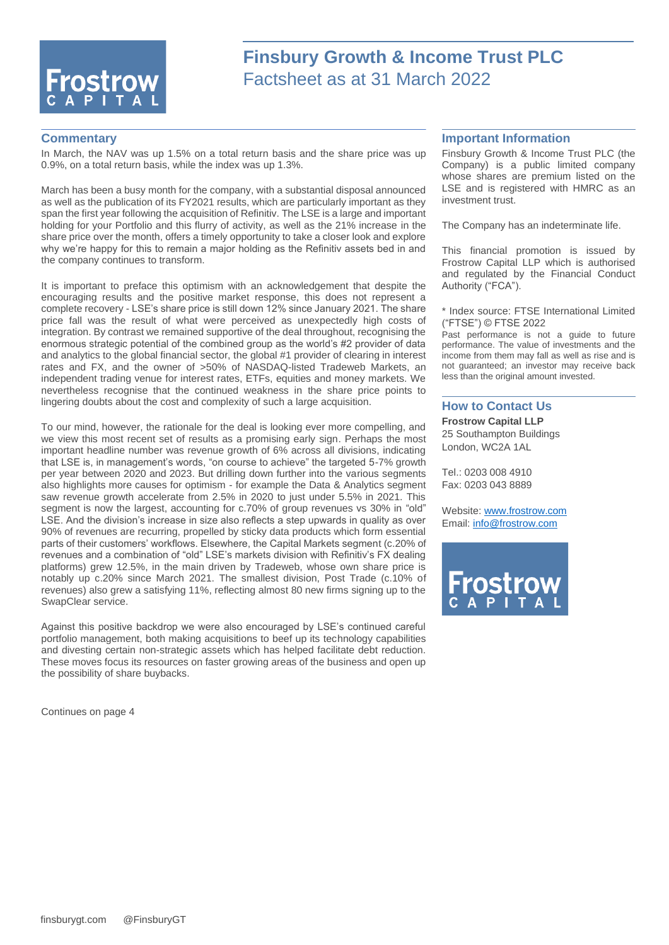

# **Finsbury Growth & Income Trust PLC** Factsheet as at 31 March 2022

#### **Commentary**

In March, the NAV was up 1.5% on a total return basis and the share price was up 0.9%, on a total return basis, while the index was up 1.3%.

March has been a busy month for the company, with a substantial disposal announced as well as the publication of its FY2021 results, which are particularly important as they span the first year following the acquisition of Refinitiv. The LSE is a large and important holding for your Portfolio and this flurry of activity, as well as the 21% increase in the share price over the month, offers a timely opportunity to take a closer look and explore why we're happy for this to remain a major holding as the Refinitiv assets bed in and the company continues to transform.

It is important to preface this optimism with an acknowledgement that despite the encouraging results and the positive market response, this does not represent a complete recovery - LSE's share price is still down 12% since January 2021. The share price fall was the result of what were perceived as unexpectedly high costs of integration. By contrast we remained supportive of the deal throughout, recognising the enormous strategic potential of the combined group as the world's #2 provider of data and analytics to the global financial sector, the global #1 provider of clearing in interest rates and FX, and the owner of >50% of NASDAQ-listed Tradeweb Markets, an independent trading venue for interest rates, ETFs, equities and money markets. We nevertheless recognise that the continued weakness in the share price points to lingering doubts about the cost and complexity of such a large acquisition.

To our mind, however, the rationale for the deal is looking ever more compelling, and we view this most recent set of results as a promising early sign. Perhaps the most important headline number was revenue growth of 6% across all divisions, indicating that LSE is, in management's words, "on course to achieve" the targeted 5-7% growth per year between 2020 and 2023. But drilling down further into the various segments also highlights more causes for optimism - for example the Data & Analytics segment saw revenue growth accelerate from 2.5% in 2020 to just under 5.5% in 2021. This segment is now the largest, accounting for c.70% of group revenues vs 30% in "old" LSE. And the division's increase in size also reflects a step upwards in quality as over 90% of revenues are recurring, propelled by sticky data products which form essential parts of their customers' workflows. Elsewhere, the Capital Markets segment (c.20% of revenues and a combination of "old" LSE's markets division with Refinitiv's FX dealing platforms) grew 12.5%, in the main driven by Tradeweb, whose own share price is notably up c.20% since March 2021. The smallest division, Post Trade (c.10% of revenues) also grew a satisfying 11%, reflecting almost 80 new firms signing up to the SwapClear service.

Against this positive backdrop we were also encouraged by LSE's continued careful portfolio management, both making acquisitions to beef up its technology capabilities and divesting certain non-strategic assets which has helped facilitate debt reduction. These moves focus its resources on faster growing areas of the business and open up the possibility of share buybacks.

Continues on page 4

#### **Important Information**

Finsbury Growth & Income Trust PLC (the Company) is a public limited company whose shares are premium listed on the LSE and is registered with HMRC as an investment trust.

The Company has an indeterminate life.

This financial promotion is issued by Frostrow Capital LLP which is authorised and regulated by the Financial Conduct Authority ("FCA").

\* Index source: FTSE International Limited ("FTSE") © FTSE 2022

Past performance is not a guide to future performance. The value of investments and the income from them may fall as well as rise and is not guaranteed; an investor may receive back less than the original amount invested.

#### **How to Contact Us**

**Frostrow Capital LLP** 25 Southampton Buildings London, WC2A 1AL

Tel.: 0203 008 4910 Fax: 0203 043 8889

Website: [www.frostrow.com](http://www.frostrow.com/) Email: [info@frostrow.com](mailto:info@frostrow.com)